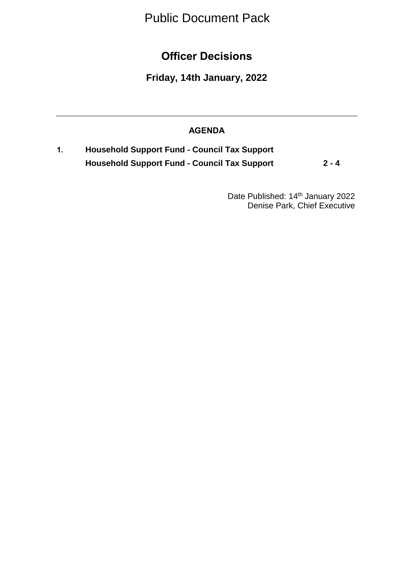Public Document Pack

**Officer Decisions**

**Friday, 14th January, 2022**

## **AGENDA**

**1. Household Support Fund - Council Tax Support Household Support Fund - Council Tax Support 2 - 4**

> Date Published: 14<sup>th</sup> January 2022 Denise Park, Chief Executive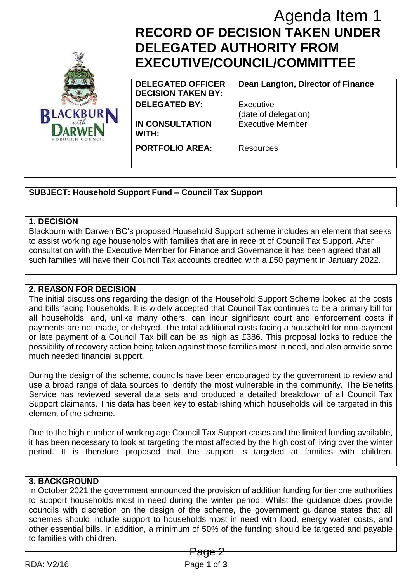

# **RECORD OF DECISION TAKEN UNDER DELEGATED AUTHORITY FROM EXECUTIVE/COUNCIL/COMMITTEE**

**DELEGATED OFFICER DECISION TAKEN BY: DELEGATED BY:** Executive

**IN CONSULTATION WITH:**

(date of delegation) Executive Member

**Dean Langton, Director of Finance**

**PORTFOLIO AREA:** Resources

**SUBJECT: Household Support Fund – Council Tax Support**

#### **1. DECISION**

Blackburn with Darwen BC's proposed Household Support scheme includes an element that seeks to assist working age households with families that are in receipt of Council Tax Support. After consultation with the Executive Member for Finance and Governance it has been agreed that all such families will have their Council Tax accounts credited with a £50 payment in January 2022.

## **2. REASON FOR DECISION**

The initial discussions regarding the design of the Household Support Scheme looked at the costs and bills facing households. It is widely accepted that Council Tax continues to be a primary bill for all households, and, unlike many others, can incur significant court and enforcement costs if payments are not made, or delayed. The total additional costs facing a household for non-payment or late payment of a Council Tax bill can be as high as £386. This proposal looks to reduce the possibility of recovery action being taken against those families most in need, and also provide some much needed financial support. Agenda Item 1<br>
Agenda Item 1<br>
TED AUTHORITY FROM<br>
IVE/COUNCIL/COMMITTEE<br>
NET AUTHORITY FROM<br>
VECOUNCIL/COMMITTEE<br>
ENDEPTICER<br>
EXERENCIVE<br>
EXERENCIVE<br>
EXERENCIVE<br>
EXERENCIVE EXECUTIVE<br>
EXERENCIVE EXECUTE<br>
EXERENCIVE EXECUTE

During the design of the scheme, councils have been encouraged by the government to review and use a broad range of data sources to identify the most vulnerable in the community. The Benefits Service has reviewed several data sets and produced a detailed breakdown of all Council Tax Support claimants. This data has been key to establishing which households will be targeted in this element of the scheme.

Due to the high number of working age Council Tax Support cases and the limited funding available, it has been necessary to look at targeting the most affected by the high cost of living over the winter period. It is therefore proposed that the support is targeted at families with children.

# **3. BACKGROUND**

In October 2021 the government announced the provision of addition funding for tier one authorities to support households most in need during the winter period. Whilst the guidance does provide councils with discretion on the design of the scheme, the government guidance states that all schemes should include support to households most in need with food, energy water costs, and other essential bills. In addition, a minimum of 50% of the funding should be targeted and payable to families with children.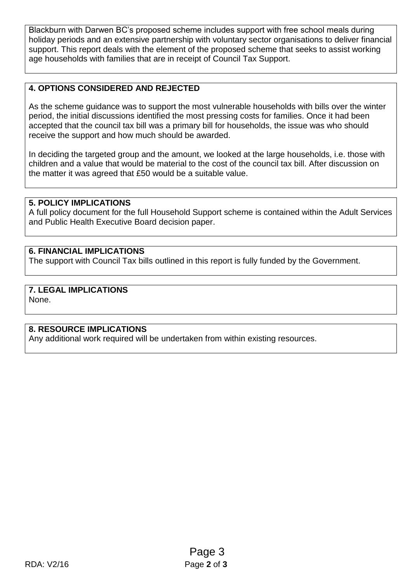Blackburn with Darwen BC's proposed scheme includes support with free school meals during holiday periods and an extensive partnership with voluntary sector organisations to deliver financial support. This report deals with the element of the proposed scheme that seeks to assist working age households with families that are in receipt of Council Tax Support.

## **4. OPTIONS CONSIDERED AND REJECTED**

As the scheme guidance was to support the most vulnerable households with bills over the winter period, the initial discussions identified the most pressing costs for families. Once it had been accepted that the council tax bill was a primary bill for households, the issue was who should receive the support and how much should be awarded.

In deciding the targeted group and the amount, we looked at the large households, i.e. those with children and a value that would be material to the cost of the council tax bill. After discussion on the matter it was agreed that £50 would be a suitable value.

#### **5. POLICY IMPLICATIONS**

A full policy document for the full Household Support scheme is contained within the Adult Services and Public Health Executive Board decision paper.

#### **6. FINANCIAL IMPLICATIONS**

The support with Council Tax bills outlined in this report is fully funded by the Government.

#### **7. LEGAL IMPLICATIONS**

None.

#### **8. RESOURCE IMPLICATIONS**

Any additional work required will be undertaken from within existing resources.